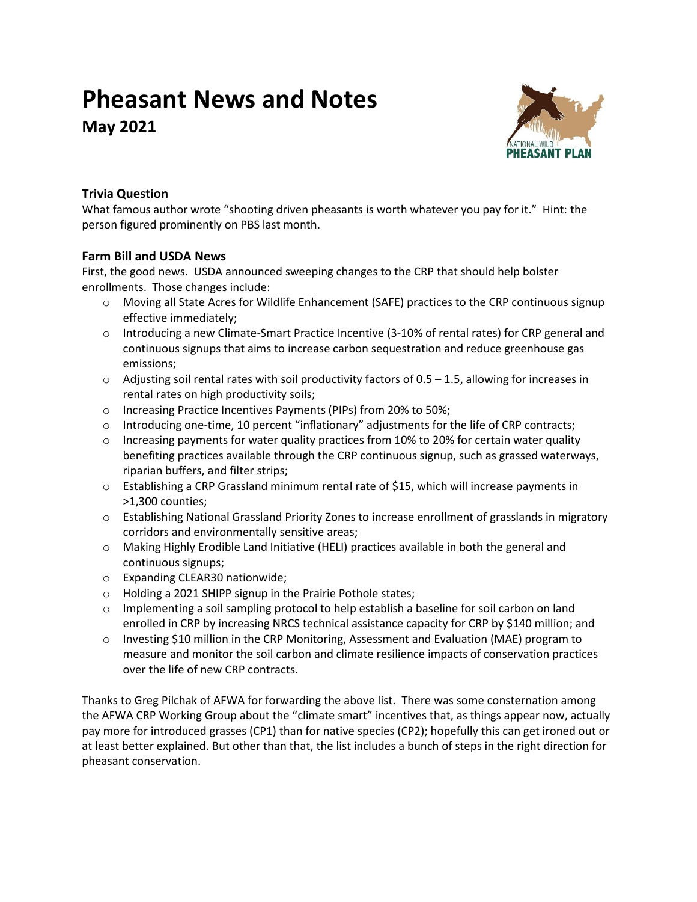# **Pheasant News and Notes**

**May 2021**



## **Trivia Question**

What famous author wrote "shooting driven pheasants is worth whatever you pay for it." Hint: the person figured prominently on PBS last month.

## **Farm Bill and USDA News**

First, the good news. USDA announced sweeping changes to the CRP that should help bolster enrollments. Those changes include:

- $\circ$  Moving all State Acres for Wildlife Enhancement (SAFE) practices to the CRP continuous signup effective immediately;
- $\circ$  Introducing a new Climate-Smart Practice Incentive (3-10% of rental rates) for CRP general and continuous signups that aims to increase carbon sequestration and reduce greenhouse gas emissions;
- $\circ$  Adjusting soil rental rates with soil productivity factors of 0.5 1.5, allowing for increases in rental rates on high productivity soils;
- o Increasing Practice Incentives Payments (PIPs) from 20% to 50%;
- $\circ$  Introducing one-time, 10 percent "inflationary" adjustments for the life of CRP contracts;
- $\circ$  Increasing payments for water quality practices from 10% to 20% for certain water quality benefiting practices available through the CRP continuous signup, such as grassed waterways, riparian buffers, and filter strips;
- o Establishing a CRP Grassland minimum rental rate of \$15, which will increase payments in >1,300 counties;
- o Establishing National Grassland Priority Zones to increase enrollment of grasslands in migratory corridors and environmentally sensitive areas;
- o Making Highly Erodible Land Initiative (HELI) practices available in both the general and continuous signups;
- o Expanding CLEAR30 nationwide;
- o Holding a 2021 SHIPP signup in the Prairie Pothole states;
- $\circ$  Implementing a soil sampling protocol to help establish a baseline for soil carbon on land enrolled in CRP by increasing NRCS technical assistance capacity for CRP by \$140 million; and
- o Investing \$10 million in the CRP Monitoring, Assessment and Evaluation (MAE) program to measure and monitor the soil carbon and climate resilience impacts of conservation practices over the life of new CRP contracts.

Thanks to Greg Pilchak of AFWA for forwarding the above list. There was some consternation among the AFWA CRP Working Group about the "climate smart" incentives that, as things appear now, actually pay more for introduced grasses (CP1) than for native species (CP2); hopefully this can get ironed out or at least better explained. But other than that, the list includes a bunch of steps in the right direction for pheasant conservation.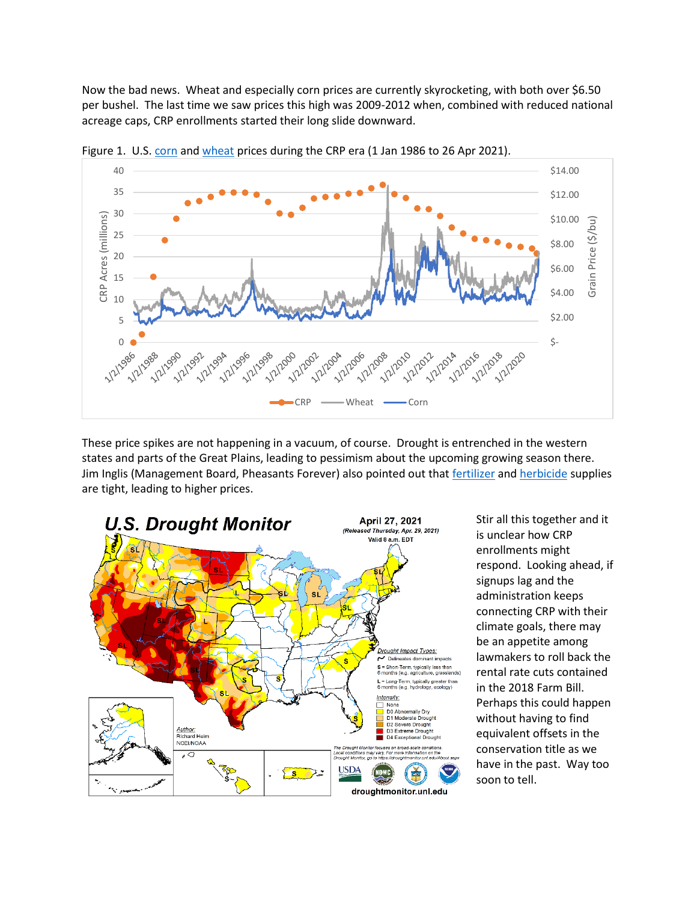Now the bad news. Wheat and especially corn prices are currently skyrocketing, with both over \$6.50 per bushel. The last time we saw prices this high was 2009-2012 when, combined with reduced national acreage caps, CRP enrollments started their long slide downward.



Figure 1. U.S. [corn](https://www.macrotrends.net/2532/corn-prices-historical-chart-data) an[d wheat](https://www.macrotrends.net/2534/wheat-prices-historical-chart-data) prices during the CRP era (1 Jan 1986 to 26 Apr 2021).

These price spikes are not happening in a vacuum, of course. Drought is entrenched in the western states and parts of the Great Plains, leading to pessimism about the upcoming growing season there. Jim Inglis (Management Board, Pheasants Forever) also pointed out that [fertilizer](https://www.dtnpf.com/agriculture/web/ag/crops/article/2021/04/28/fertilizer-price-increases-slow) an[d herbicide](https://www.agweb.com/news/crops/crop-production/glyphosate-glufosinate-prices-50-some-cases-due-industry-wide-shortage) supplies are tight, leading to higher prices.



Stir all this together and it is unclear how CRP enrollments might respond. Looking ahead, if signups lag and the administration keeps connecting CRP with their climate goals, there may be an appetite among lawmakers to roll back the rental rate cuts contained in the 2018 Farm Bill. Perhaps this could happen without having to find equivalent offsets in the conservation title as we have in the past. Way too soon to tell.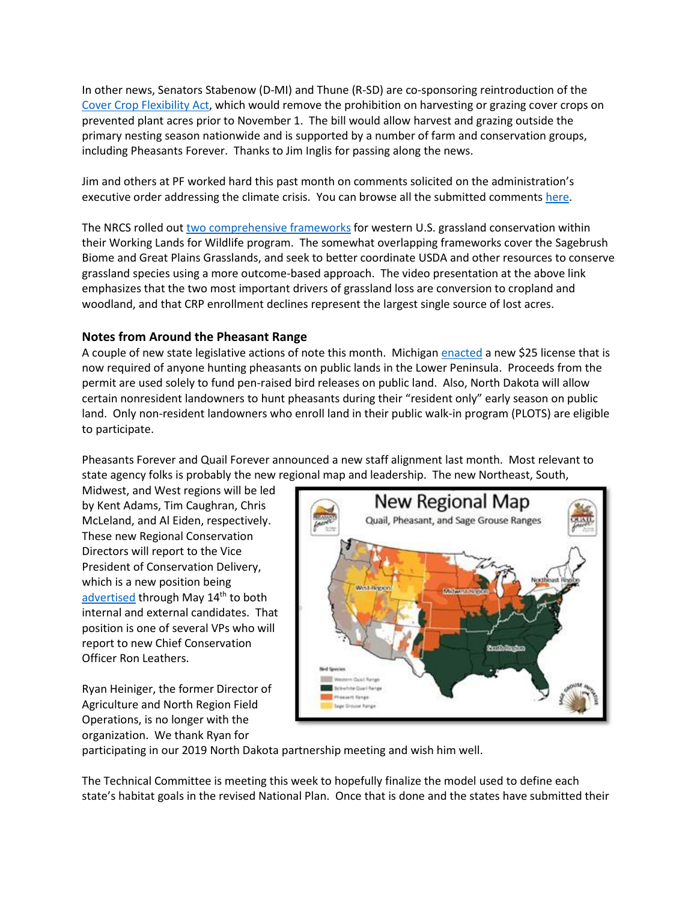In other news, Senators Stabenow (D-MI) and Thune (R-SD) are co-sponsoring reintroduction of the [Cover Crop Flexibility Act,](https://www.thune.senate.gov/public/index.cfm/press-releases?ID=0A3E40B7-3F95-4470-8BDA-52B81CFA24EE) which would remove the prohibition on harvesting or grazing cover crops on prevented plant acres prior to November 1. The bill would allow harvest and grazing outside the primary nesting season nationwide and is supported by a number of farm and conservation groups, including Pheasants Forever. Thanks to Jim Inglis for passing along the news.

Jim and others at PF worked hard this past month on comments solicited on the administration's executive order addressing the climate crisis. You can browse all the submitted comments [here.](https://www.regulations.gov/document/USDA-2021-0003-0001/comment)

The NRCS rolled out two [comprehensive frameworks](https://wlfw.rangelands.app/) for western U.S. grassland conservation within their Working Lands for Wildlife program. The somewhat overlapping frameworks cover the Sagebrush Biome and Great Plains Grasslands, and seek to better coordinate USDA and other resources to conserve grassland species using a more outcome-based approach. The video presentation at the above link emphasizes that the two most important drivers of grassland loss are conversion to cropland and woodland, and that CRP enrollment declines represent the largest single source of lost acres.

## **Notes from Around the Pheasant Range**

A couple of new state legislative actions of note this month. Michigan [enacted](https://www.mlive.com/news/2021/04/michigan-dnr-creates-new-pheasant-hunting-license-see-where-birds-will-be-released-in-2021.html) a new \$25 license that is now required of anyone hunting pheasants on public lands in the Lower Peninsula. Proceeds from the permit are used solely to fund pen-raised bird releases on public land. Also, North Dakota will allow certain nonresident landowners to hunt pheasants during their "resident only" early season on public land. Only non-resident landowners who enroll land in their public walk-in program (PLOTS) are eligible to participate.

Pheasants Forever and Quail Forever announced a new staff alignment last month. Most relevant to state agency folks is probably the new regional map and leadership. The new Northeast, South,

Midwest, and West regions will be led by Kent Adams, Tim Caughran, Chris McLeland, and Al Eiden, respectively. These new Regional Conservation Directors will report to the Vice President of Conservation Delivery, which is a new position being [advertised](https://workforcenow.adp.com/mascsr/default/mdf/recruitment/recruitment.html?cid=e9cf9c51-b70e-4607-b723-b8bf76c3161b&ccId=19000101_000001&jobId=405022&source=CC2&lang=en_US) through May 14th to both internal and external candidates. That position is one of several VPs who will report to new Chief Conservation Officer Ron Leathers.

Ryan Heiniger, the former Director of Agriculture and North Region Field Operations, is no longer with the organization. We thank Ryan for



participating in our 2019 North Dakota partnership meeting and wish him well.

The Technical Committee is meeting this week to hopefully finalize the model used to define each state's habitat goals in the revised National Plan. Once that is done and the states have submitted their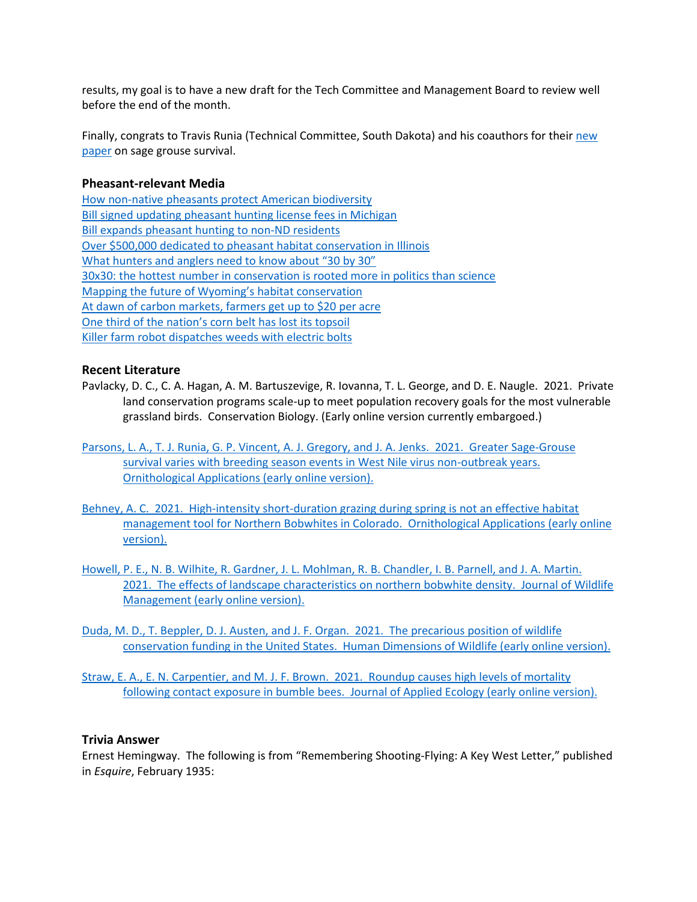results, my goal is to have a new draft for the Tech Committee and Management Board to review well before the end of the month.

Finally, congrats to Travis Runia (Technical Committee, South Dakota) and his coauthors for their [new](https://doi.org/10.1093/ornithapp/duab002) [paper](https://doi.org/10.1093/ornithapp/duab002) on sage grouse survival.

### **Pheasant-relevant Media**

[How non-native pheasants protect American biodiversity](https://www.outsideonline.com/2421793/how-pheasant-hunters-protect-american-biodiversity) [Bill signed updating pheasant hunting license fees in Michigan](https://nbc25news.com/news/local/bill-signed-updating-pheasant-hunting-license-fees-in-michigan) [Bill expands pheasant hunting to non-ND residents](https://www.kfyrtv.com/2021/04/21/bill-expands-pheasant-hunting-to-non-nd-residents/) [Over \\$500,000 dedicated to pheasant habitat conservation in Illinois](https://greatlakesecho.org/2021/04/13/over-500000-dedicated-to-pheasant-habitat-conservation-in-illinois/) [What hunters and anglers need to know about "30 by 30"](https://www.trcp.org/2021/04/16/hunters-anglers-need-know-30-30/?emci=eabff1ce-d39e-eb11-85aa-0050f237abef&emdi=e4c27f92-ea9e-eb11-85aa-0050f237abef&ceid=1730541) [30x30: the hottest number in conservation is rooted more in politics than science](https://www.vox.com/22369705/biden-conservation-biodiversity-collapse-30-by-30) [Mapping the future of Wyoming's habita](https://www.powelltribune.com/stories/mapping-the-future-of-habitat,30676?emci=eabff1ce-d39e-eb11-85aa-0050f237abef&emdi=e4c27f92-ea9e-eb11-85aa-0050f237abef&ceid=1730541)t conservation [At dawn of carbon markets, farmers get up to \\$20 per acre](https://www.agriculture.com/news/business/at-dawn-of-carbon-markets-farmers-get-up-to-20-per-acre) One third of the nation's [corn belt has lost its topsoil](https://www.smithsonianmag.com/science-nature/scientists-say-nations-corn-belt-has-lost-third-its-topsoil-180977485/) [Killer farm robot dispatches weeds with electric bolts](https://www.theguardian.com/environment/2021/apr/29/killer-farm-robot-dispatches-weeds-with-electric-bolts)

#### **Recent Literature**

- Pavlacky, D. C., C. A. Hagan, A. M. Bartuszevige, R. Iovanna, T. L. George, and D. E. Naugle. 2021. Private land conservation programs scale-up to meet population recovery goals for the most vulnerable grassland birds. Conservation Biology. (Early online version currently embargoed.)
- [Parsons, L. A., T. J. Runia, G. P. Vincent, A. J. Gregory, and J. A. Jenks. 2021. Greater Sage-Grouse](https://doi.org/10.1093/ornithapp/duab002)  [survival varies with breeding season events in West Nile virus non-outbreak years.](https://doi.org/10.1093/ornithapp/duab002)  [Ornithological Applications \(early online version\).](https://doi.org/10.1093/ornithapp/duab002)
- [Behney, A. C. 2021. High-intensity short-duration grazing during spring is not an effective habitat](https://doi.org/10.1093/ornithapp/duab015)  [management tool for Northern Bobwhites in Colorado. Ornithological Applications](https://doi.org/10.1093/ornithapp/duab015) (early online [version\).](https://doi.org/10.1093/ornithapp/duab015)
- [Howell, P. E., N. B. Wilhite, R. Gardner, J. L. Mohlman, R. B. Chandler, I. B. Parnell, and J. A. Martin.](https://doi.org/10.1002/jwmg.22057)  [2021. The effects of landscape characteristics on northern bobwhite](https://doi.org/10.1002/jwmg.22057) density. Journal of Wildlife Management [\(early online version\).](https://doi.org/10.1002/jwmg.22057)
- [Duda, M. D., T. Beppler, D. J. Austen, and J. F. Organ. 2021. The precarious position of wildlife](https://doi.org/10.1080/10871209.2021.1904307)  [conservation funding in the United States. Human Dimensions of Wildlife \(early online version\).](https://doi.org/10.1080/10871209.2021.1904307)
- [Straw, E. A., E. N. Carpentier, and M. J. F. Brown. 2021. Roundup causes high levels of mortality](https://doi.org/10.1111/1365-2664.13867)  [following contact exposure in bumble bees. Journal of Applied Ecology \(early online version\).](https://doi.org/10.1111/1365-2664.13867)

#### **Trivia Answer**

Ernest Hemingway. The following is from "Remembering Shooting-Flying: A Key West Letter," published in *Esquire*, February 1935: